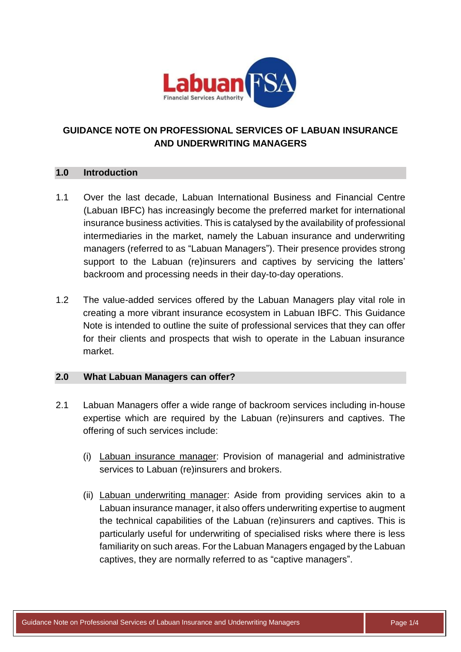

# **GUIDANCE NOTE ON PROFESSIONAL SERVICES OF LABUAN INSURANCE AND UNDERWRITING MANAGERS**

# **1.0 Introduction**

- 1.1 Over the last decade, Labuan International Business and Financial Centre (Labuan IBFC) has increasingly become the preferred market for international insurance business activities. This is catalysed by the availability of professional intermediaries in the market, namely the Labuan insurance and underwriting managers (referred to as "Labuan Managers"). Their presence provides strong support to the Labuan (re)insurers and captives by servicing the latters' backroom and processing needs in their day-to-day operations.
- 1.2 The value-added services offered by the Labuan Managers play vital role in creating a more vibrant insurance ecosystem in Labuan IBFC. This Guidance Note is intended to outline the suite of professional services that they can offer for their clients and prospects that wish to operate in the Labuan insurance market.

# **2.0 What Labuan Managers can offer?**

- 2.1 Labuan Managers offer a wide range of backroom services including in-house expertise which are required by the Labuan (re)insurers and captives. The offering of such services include:
	- (i) Labuan insurance manager: Provision of managerial and administrative services to Labuan (re)insurers and brokers.
	- (ii) Labuan underwriting manager: Aside from providing services akin to a Labuan insurance manager, it also offers underwriting expertise to augment the technical capabilities of the Labuan (re)insurers and captives. This is particularly useful for underwriting of specialised risks where there is less familiarity on such areas. For the Labuan Managers engaged by the Labuan captives, they are normally referred to as "captive managers".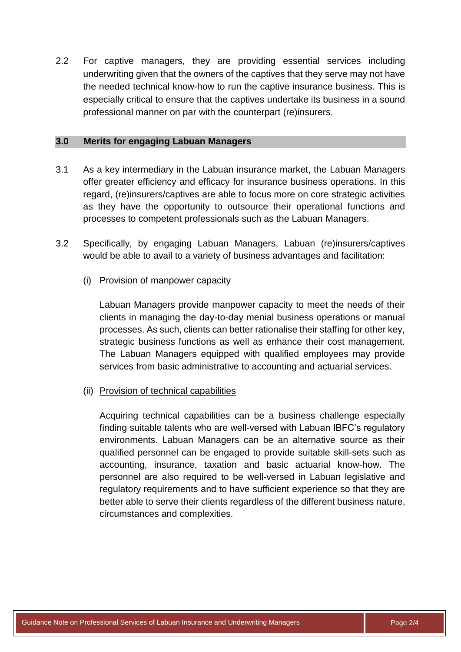2.2 For captive managers, they are providing essential services including underwriting given that the owners of the captives that they serve may not have the needed technical know-how to run the captive insurance business. This is especially critical to ensure that the captives undertake its business in a sound professional manner on par with the counterpart (re)insurers.

#### **3.0 Merits for engaging Labuan Managers**

- 3.1 As a key intermediary in the Labuan insurance market, the Labuan Managers offer greater efficiency and efficacy for insurance business operations. In this regard, (re)insurers/captives are able to focus more on core strategic activities as they have the opportunity to outsource their operational functions and processes to competent professionals such as the Labuan Managers.
- 3.2 Specifically, by engaging Labuan Managers, Labuan (re)insurers/captives would be able to avail to a variety of business advantages and facilitation:

### (i) Provision of manpower capacity

Labuan Managers provide manpower capacity to meet the needs of their clients in managing the day-to-day menial business operations or manual processes. As such, clients can better rationalise their staffing for other key, strategic business functions as well as enhance their cost management. The Labuan Managers equipped with qualified employees may provide services from basic administrative to accounting and actuarial services.

#### (ii) Provision of technical capabilities

Acquiring technical capabilities can be a business challenge especially finding suitable talents who are well-versed with Labuan IBFC's regulatory environments. Labuan Managers can be an alternative source as their qualified personnel can be engaged to provide suitable skill-sets such as accounting, insurance, taxation and basic actuarial know-how. The personnel are also required to be well-versed in Labuan legislative and regulatory requirements and to have sufficient experience so that they are better able to serve their clients regardless of the different business nature, circumstances and complexities.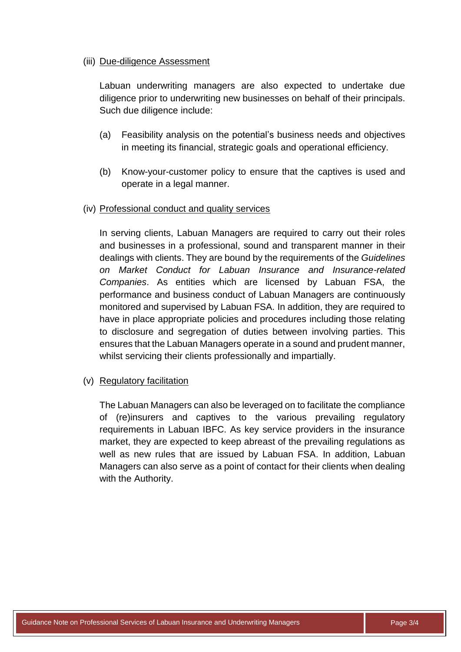### (iii) Due-diligence Assessment

Labuan underwriting managers are also expected to undertake due diligence prior to underwriting new businesses on behalf of their principals. Such due diligence include:

- (a) Feasibility analysis on the potential's business needs and objectives in meeting its financial, strategic goals and operational efficiency.
- (b) Know-your-customer policy to ensure that the captives is used and operate in a legal manner.

### (iv) Professional conduct and quality services

In serving clients, Labuan Managers are required to carry out their roles and businesses in a professional, sound and transparent manner in their dealings with clients. They are bound by the requirements of the *Guidelines on Market Conduct for Labuan Insurance and Insurance-related Companies*. As entities which are licensed by Labuan FSA, the performance and business conduct of Labuan Managers are continuously monitored and supervised by Labuan FSA. In addition, they are required to have in place appropriate policies and procedures including those relating to disclosure and segregation of duties between involving parties. This ensures that the Labuan Managers operate in a sound and prudent manner, whilst servicing their clients professionally and impartially.

# (v) Regulatory facilitation

The Labuan Managers can also be leveraged on to facilitate the compliance of (re)insurers and captives to the various prevailing regulatory requirements in Labuan IBFC. As key service providers in the insurance market, they are expected to keep abreast of the prevailing regulations as well as new rules that are issued by Labuan FSA. In addition, Labuan Managers can also serve as a point of contact for their clients when dealing with the Authority.